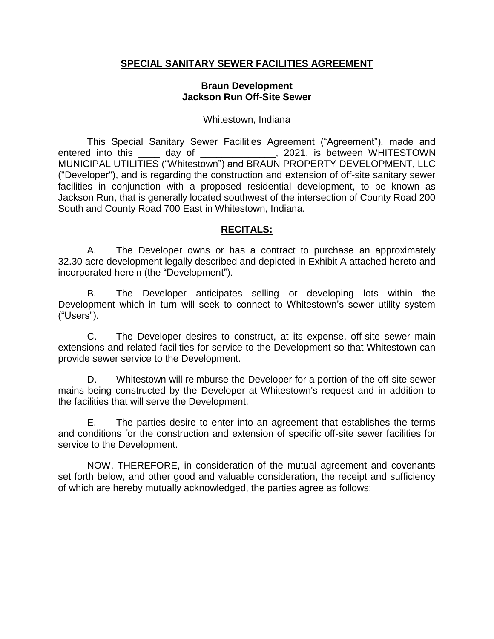### **SPECIAL SANITARY SEWER FACILITIES AGREEMENT**

#### **Braun Development Jackson Run Off-Site Sewer**

#### Whitestown, Indiana

This Special Sanitary Sewer Facilities Agreement ("Agreement"), made and entered into this day of the same of the sector of the sector of the sector of the sector of the sector of the sector of the sector of the sector of the sector of the sector of the sector of the sector of the sector of the MUNICIPAL UTILITIES ("Whitestown") and BRAUN PROPERTY DEVELOPMENT, LLC ("Developer"), and is regarding the construction and extension of off-site sanitary sewer facilities in conjunction with a proposed residential development, to be known as Jackson Run, that is generally located southwest of the intersection of County Road 200 South and County Road 700 East in Whitestown, Indiana.

### **RECITALS:**

A. The Developer owns or has a contract to purchase an approximately 32.30 acre development legally described and depicted in Exhibit A attached hereto and incorporated herein (the "Development").

B. The Developer anticipates selling or developing lots within the Development which in turn will seek to connect to Whitestown's sewer utility system ("Users").

C. The Developer desires to construct, at its expense, off-site sewer main extensions and related facilities for service to the Development so that Whitestown can provide sewer service to the Development.

D. Whitestown will reimburse the Developer for a portion of the off-site sewer mains being constructed by the Developer at Whitestown's request and in addition to the facilities that will serve the Development.

E. The parties desire to enter into an agreement that establishes the terms and conditions for the construction and extension of specific off-site sewer facilities for service to the Development.

NOW, THEREFORE, in consideration of the mutual agreement and covenants set forth below, and other good and valuable consideration, the receipt and sufficiency of which are hereby mutually acknowledged, the parties agree as follows: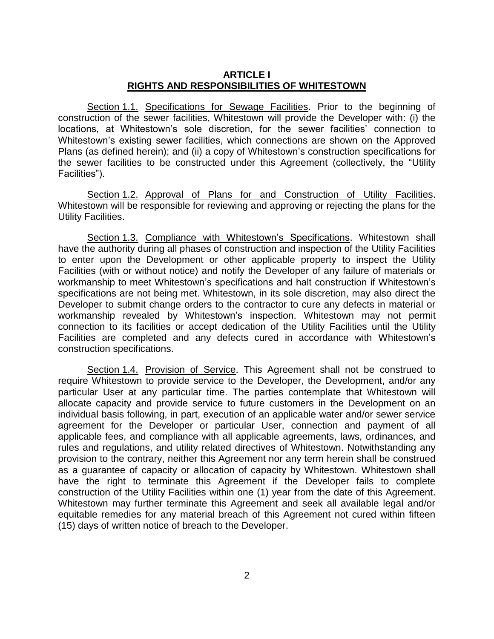#### **ARTICLE I RIGHTS AND RESPONSIBILITIES OF WHITESTOWN**

Section 1.1. Specifications for Sewage Facilities. Prior to the beginning of construction of the sewer facilities, Whitestown will provide the Developer with: (i) the locations, at Whitestown's sole discretion, for the sewer facilities' connection to Whitestown's existing sewer facilities, which connections are shown on the Approved Plans (as defined herein); and (ii) a copy of Whitestown's construction specifications for the sewer facilities to be constructed under this Agreement (collectively, the "Utility Facilities").

Section 1.2. Approval of Plans for and Construction of Utility Facilities. Whitestown will be responsible for reviewing and approving or rejecting the plans for the Utility Facilities.

Section 1.3. Compliance with Whitestown's Specifications. Whitestown shall have the authority during all phases of construction and inspection of the Utility Facilities to enter upon the Development or other applicable property to inspect the Utility Facilities (with or without notice) and notify the Developer of any failure of materials or workmanship to meet Whitestown's specifications and halt construction if Whitestown's specifications are not being met. Whitestown, in its sole discretion, may also direct the Developer to submit change orders to the contractor to cure any defects in material or workmanship revealed by Whitestown's inspection. Whitestown may not permit connection to its facilities or accept dedication of the Utility Facilities until the Utility Facilities are completed and any defects cured in accordance with Whitestown's construction specifications.

Section 1.4. Provision of Service. This Agreement shall not be construed to require Whitestown to provide service to the Developer, the Development, and/or any particular User at any particular time. The parties contemplate that Whitestown will allocate capacity and provide service to future customers in the Development on an individual basis following, in part, execution of an applicable water and/or sewer service agreement for the Developer or particular User, connection and payment of all applicable fees, and compliance with all applicable agreements, laws, ordinances, and rules and regulations, and utility related directives of Whitestown. Notwithstanding any provision to the contrary, neither this Agreement nor any term herein shall be construed as a guarantee of capacity or allocation of capacity by Whitestown. Whitestown shall have the right to terminate this Agreement if the Developer fails to complete construction of the Utility Facilities within one (1) year from the date of this Agreement. Whitestown may further terminate this Agreement and seek all available legal and/or equitable remedies for any material breach of this Agreement not cured within fifteen (15) days of written notice of breach to the Developer.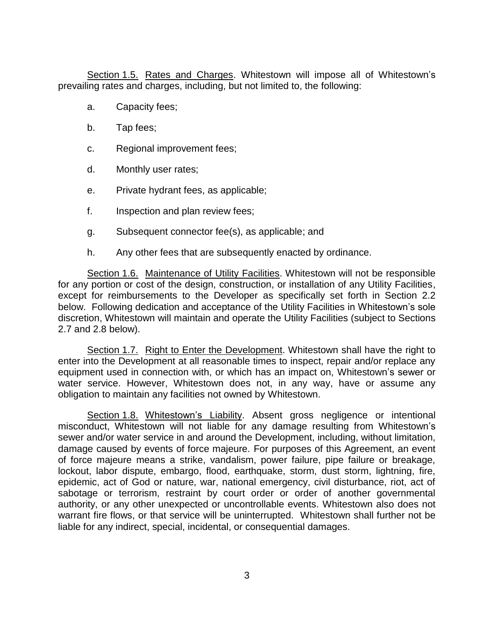Section 1.5. Rates and Charges. Whitestown will impose all of Whitestown's prevailing rates and charges, including, but not limited to, the following:

- a. Capacity fees;
- b. Tap fees;
- c. Regional improvement fees;
- d. Monthly user rates;
- e. Private hydrant fees, as applicable;
- f. Inspection and plan review fees;
- g. Subsequent connector fee(s), as applicable; and
- h. Any other fees that are subsequently enacted by ordinance.

Section 1.6. Maintenance of Utility Facilities. Whitestown will not be responsible for any portion or cost of the design, construction, or installation of any Utility Facilities, except for reimbursements to the Developer as specifically set forth in Section 2.2 below. Following dedication and acceptance of the Utility Facilities in Whitestown's sole discretion, Whitestown will maintain and operate the Utility Facilities (subject to Sections 2.7 and 2.8 below).

Section 1.7. Right to Enter the Development. Whitestown shall have the right to enter into the Development at all reasonable times to inspect, repair and/or replace any equipment used in connection with, or which has an impact on, Whitestown's sewer or water service. However, Whitestown does not, in any way, have or assume any obligation to maintain any facilities not owned by Whitestown.

Section 1.8. Whitestown's Liability. Absent gross negligence or intentional misconduct, Whitestown will not liable for any damage resulting from Whitestown's sewer and/or water service in and around the Development, including, without limitation, damage caused by events of force majeure. For purposes of this Agreement, an event of force majeure means a strike, vandalism, power failure, pipe failure or breakage, lockout, labor dispute, embargo, flood, earthquake, storm, dust storm, lightning, fire, epidemic, act of God or nature, war, national emergency, civil disturbance, riot, act of sabotage or terrorism, restraint by court order or order of another governmental authority, or any other unexpected or uncontrollable events. Whitestown also does not warrant fire flows, or that service will be uninterrupted. Whitestown shall further not be liable for any indirect, special, incidental, or consequential damages.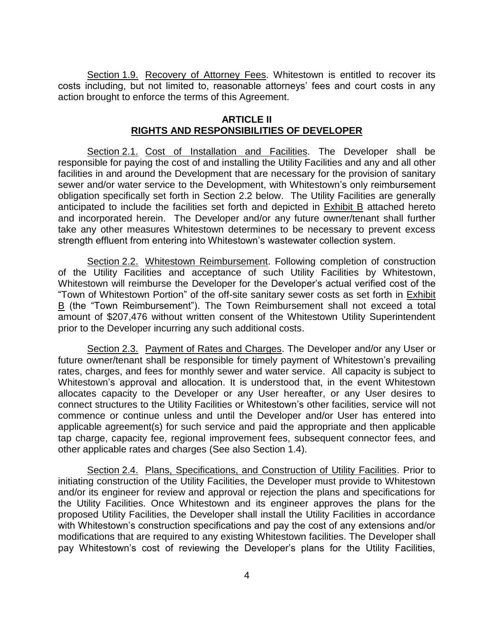Section 1.9. Recovery of Attorney Fees. Whitestown is entitled to recover its costs including, but not limited to, reasonable attorneys' fees and court costs in any action brought to enforce the terms of this Agreement.

#### **ARTICLE II RIGHTS AND RESPONSIBILITIES OF DEVELOPER**

Section 2.1. Cost of Installation and Facilities. The Developer shall be responsible for paying the cost of and installing the Utility Facilities and any and all other facilities in and around the Development that are necessary for the provision of sanitary sewer and/or water service to the Development, with Whitestown's only reimbursement obligation specifically set forth in Section 2.2 below. The Utility Facilities are generally anticipated to include the facilities set forth and depicted in Exhibit B attached hereto and incorporated herein. The Developer and/or any future owner/tenant shall further take any other measures Whitestown determines to be necessary to prevent excess strength effluent from entering into Whitestown's wastewater collection system.

Section 2.2. Whitestown Reimbursement. Following completion of construction of the Utility Facilities and acceptance of such Utility Facilities by Whitestown, Whitestown will reimburse the Developer for the Developer's actual verified cost of the "Town of Whitestown Portion" of the off-site sanitary sewer costs as set forth in Exhibit B (the "Town Reimbursement"). The Town Reimbursement shall not exceed a total amount of \$207,476 without written consent of the Whitestown Utility Superintendent prior to the Developer incurring any such additional costs.

Section 2.3. Payment of Rates and Charges. The Developer and/or any User or future owner/tenant shall be responsible for timely payment of Whitestown's prevailing rates, charges, and fees for monthly sewer and water service. All capacity is subject to Whitestown's approval and allocation. It is understood that, in the event Whitestown allocates capacity to the Developer or any User hereafter, or any User desires to connect structures to the Utility Facilities or Whitestown's other facilities, service will not commence or continue unless and until the Developer and/or User has entered into applicable agreement(s) for such service and paid the appropriate and then applicable tap charge, capacity fee, regional improvement fees, subsequent connector fees, and other applicable rates and charges (See also Section 1.4).

Section 2.4. Plans, Specifications, and Construction of Utility Facilities. Prior to initiating construction of the Utility Facilities, the Developer must provide to Whitestown and/or its engineer for review and approval or rejection the plans and specifications for the Utility Facilities. Once Whitestown and its engineer approves the plans for the proposed Utility Facilities, the Developer shall install the Utility Facilities in accordance with Whitestown's construction specifications and pay the cost of any extensions and/or modifications that are required to any existing Whitestown facilities. The Developer shall pay Whitestown's cost of reviewing the Developer's plans for the Utility Facilities,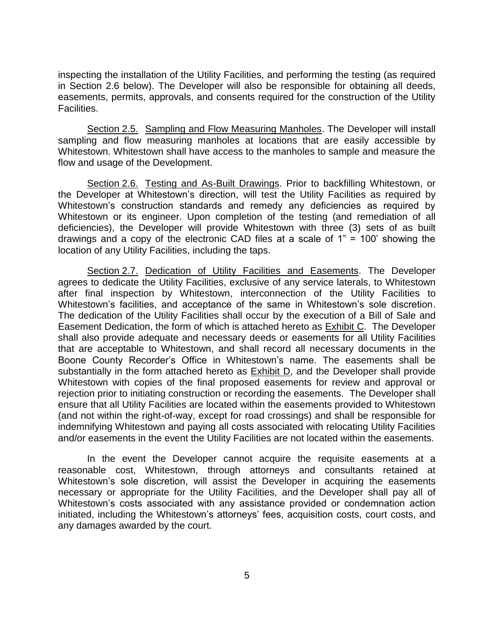inspecting the installation of the Utility Facilities, and performing the testing (as required in Section 2.6 below). The Developer will also be responsible for obtaining all deeds, easements, permits, approvals, and consents required for the construction of the Utility Facilities.

Section 2.5. Sampling and Flow Measuring Manholes. The Developer will install sampling and flow measuring manholes at locations that are easily accessible by Whitestown. Whitestown shall have access to the manholes to sample and measure the flow and usage of the Development.

Section 2.6. Testing and As-Built Drawings. Prior to backfilling Whitestown, or the Developer at Whitestown's direction, will test the Utility Facilities as required by Whitestown's construction standards and remedy any deficiencies as required by Whitestown or its engineer. Upon completion of the testing (and remediation of all deficiencies), the Developer will provide Whitestown with three (3) sets of as built drawings and a copy of the electronic CAD files at a scale of 1" = 100' showing the location of any Utility Facilities, including the taps.

Section 2.7. Dedication of Utility Facilities and Easements. The Developer agrees to dedicate the Utility Facilities, exclusive of any service laterals, to Whitestown after final inspection by Whitestown, interconnection of the Utility Facilities to Whitestown's facilities, and acceptance of the same in Whitestown's sole discretion. The dedication of the Utility Facilities shall occur by the execution of a Bill of Sale and Easement Dedication, the form of which is attached hereto as Exhibit C. The Developer shall also provide adequate and necessary deeds or easements for all Utility Facilities that are acceptable to Whitestown, and shall record all necessary documents in the Boone County Recorder's Office in Whitestown's name. The easements shall be substantially in the form attached hereto as **Exhibit D**, and the Developer shall provide Whitestown with copies of the final proposed easements for review and approval or rejection prior to initiating construction or recording the easements. The Developer shall ensure that all Utility Facilities are located within the easements provided to Whitestown (and not within the right-of-way, except for road crossings) and shall be responsible for indemnifying Whitestown and paying all costs associated with relocating Utility Facilities and/or easements in the event the Utility Facilities are not located within the easements.

In the event the Developer cannot acquire the requisite easements at a reasonable cost, Whitestown, through attorneys and consultants retained at Whitestown's sole discretion, will assist the Developer in acquiring the easements necessary or appropriate for the Utility Facilities, and the Developer shall pay all of Whitestown's costs associated with any assistance provided or condemnation action initiated, including the Whitestown's attorneys' fees, acquisition costs, court costs, and any damages awarded by the court.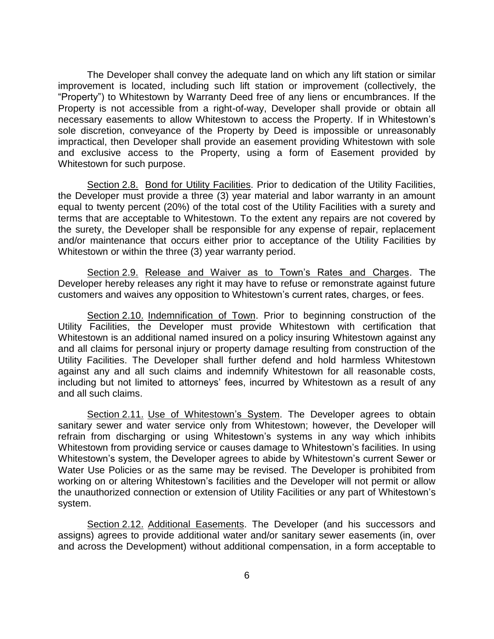The Developer shall convey the adequate land on which any lift station or similar improvement is located, including such lift station or improvement (collectively, the "Property") to Whitestown by Warranty Deed free of any liens or encumbrances. If the Property is not accessible from a right-of-way, Developer shall provide or obtain all necessary easements to allow Whitestown to access the Property. If in Whitestown's sole discretion, conveyance of the Property by Deed is impossible or unreasonably impractical, then Developer shall provide an easement providing Whitestown with sole and exclusive access to the Property, using a form of Easement provided by Whitestown for such purpose.

Section 2.8. Bond for Utility Facilities. Prior to dedication of the Utility Facilities, the Developer must provide a three (3) year material and labor warranty in an amount equal to twenty percent (20%) of the total cost of the Utility Facilities with a surety and terms that are acceptable to Whitestown. To the extent any repairs are not covered by the surety, the Developer shall be responsible for any expense of repair, replacement and/or maintenance that occurs either prior to acceptance of the Utility Facilities by Whitestown or within the three (3) year warranty period.

Section 2.9. Release and Waiver as to Town's Rates and Charges. The Developer hereby releases any right it may have to refuse or remonstrate against future customers and waives any opposition to Whitestown's current rates, charges, or fees.

Section 2.10. Indemnification of Town. Prior to beginning construction of the Utility Facilities, the Developer must provide Whitestown with certification that Whitestown is an additional named insured on a policy insuring Whitestown against any and all claims for personal injury or property damage resulting from construction of the Utility Facilities. The Developer shall further defend and hold harmless Whitestown against any and all such claims and indemnify Whitestown for all reasonable costs, including but not limited to attorneys' fees, incurred by Whitestown as a result of any and all such claims.

Section 2.11. Use of Whitestown's System. The Developer agrees to obtain sanitary sewer and water service only from Whitestown; however, the Developer will refrain from discharging or using Whitestown's systems in any way which inhibits Whitestown from providing service or causes damage to Whitestown's facilities. In using Whitestown's system, the Developer agrees to abide by Whitestown's current Sewer or Water Use Policies or as the same may be revised. The Developer is prohibited from working on or altering Whitestown's facilities and the Developer will not permit or allow the unauthorized connection or extension of Utility Facilities or any part of Whitestown's system.

Section 2.12. Additional Easements. The Developer (and his successors and assigns) agrees to provide additional water and/or sanitary sewer easements (in, over and across the Development) without additional compensation, in a form acceptable to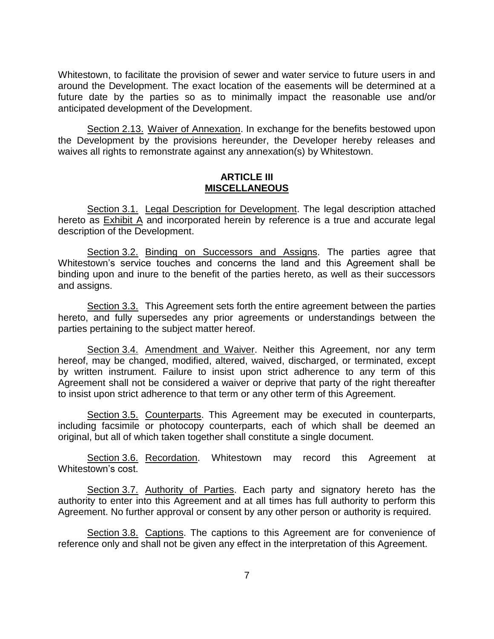Whitestown, to facilitate the provision of sewer and water service to future users in and around the Development. The exact location of the easements will be determined at a future date by the parties so as to minimally impact the reasonable use and/or anticipated development of the Development.

Section 2.13. Waiver of Annexation. In exchange for the benefits bestowed upon the Development by the provisions hereunder, the Developer hereby releases and waives all rights to remonstrate against any annexation(s) by Whitestown.

### **ARTICLE III MISCELLANEOUS**

Section 3.1. Legal Description for Development. The legal description attached hereto as Exhibit A and incorporated herein by reference is a true and accurate legal description of the Development.

Section 3.2. Binding on Successors and Assigns. The parties agree that Whitestown's service touches and concerns the land and this Agreement shall be binding upon and inure to the benefit of the parties hereto, as well as their successors and assigns.

Section 3.3. This Agreement sets forth the entire agreement between the parties hereto, and fully supersedes any prior agreements or understandings between the parties pertaining to the subject matter hereof.

Section 3.4. Amendment and Waiver. Neither this Agreement, nor any term hereof, may be changed, modified, altered, waived, discharged, or terminated, except by written instrument. Failure to insist upon strict adherence to any term of this Agreement shall not be considered a waiver or deprive that party of the right thereafter to insist upon strict adherence to that term or any other term of this Agreement.

Section 3.5. Counterparts. This Agreement may be executed in counterparts, including facsimile or photocopy counterparts, each of which shall be deemed an original, but all of which taken together shall constitute a single document.

Section 3.6. Recordation. Whitestown may record this Agreement at Whitestown's cost.

Section 3.7. Authority of Parties. Each party and signatory hereto has the authority to enter into this Agreement and at all times has full authority to perform this Agreement. No further approval or consent by any other person or authority is required.

Section 3.8. Captions. The captions to this Agreement are for convenience of reference only and shall not be given any effect in the interpretation of this Agreement.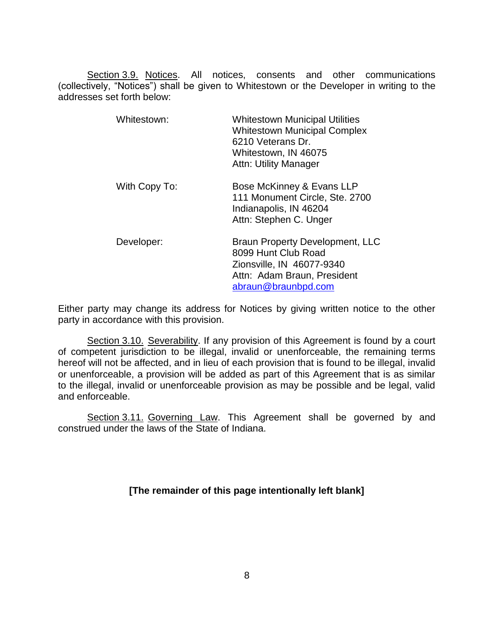Section 3.9. Notices. All notices, consents and other communications (collectively, "Notices") shall be given to Whitestown or the Developer in writing to the addresses set forth below:

| Whitestown:   | <b>Whitestown Municipal Utilities</b><br><b>Whitestown Municipal Complex</b><br>6210 Veterans Dr.<br>Whitestown, IN 46075<br><b>Attn: Utility Manager</b> |
|---------------|-----------------------------------------------------------------------------------------------------------------------------------------------------------|
| With Copy To: | Bose McKinney & Evans LLP<br>111 Monument Circle, Ste. 2700<br>Indianapolis, IN 46204<br>Attn: Stephen C. Unger                                           |
| Developer:    | <b>Braun Property Development, LLC</b><br>8099 Hunt Club Road<br>Zionsville, IN 46077-9340<br>Attn: Adam Braun, President<br>abraun@braunbpd.com          |

Either party may change its address for Notices by giving written notice to the other party in accordance with this provision.

Section 3.10. Severability. If any provision of this Agreement is found by a court of competent jurisdiction to be illegal, invalid or unenforceable, the remaining terms hereof will not be affected, and in lieu of each provision that is found to be illegal, invalid or unenforceable, a provision will be added as part of this Agreement that is as similar to the illegal, invalid or unenforceable provision as may be possible and be legal, valid and enforceable.

Section 3.11. Governing Law. This Agreement shall be governed by and construed under the laws of the State of Indiana.

**[The remainder of this page intentionally left blank]**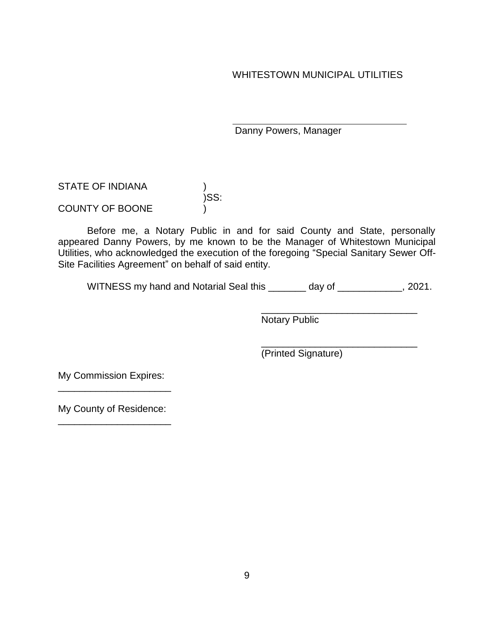WHITESTOWN MUNICIPAL UTILITIES

Danny Powers, Manager

STATE OF INDIANA )SS:

COUNTY OF BOONE

Before me, a Notary Public in and for said County and State, personally appeared Danny Powers, by me known to be the Manager of Whitestown Municipal Utilities, who acknowledged the execution of the foregoing "Special Sanitary Sewer Off-Site Facilities Agreement" on behalf of said entity.

WITNESS my hand and Notarial Seal this \_\_\_\_\_\_\_ day of \_\_\_\_\_\_\_\_\_\_\_, 2021.

\_\_\_\_\_\_\_\_\_\_\_\_\_\_\_\_\_\_\_\_\_\_\_\_\_\_\_\_\_ Notary Public

\_\_\_\_\_\_\_\_\_\_\_\_\_\_\_\_\_\_\_\_\_\_\_\_\_\_\_\_\_ (Printed Signature)

My Commission Expires: \_\_\_\_\_\_\_\_\_\_\_\_\_\_\_\_\_\_\_\_\_

My County of Residence: \_\_\_\_\_\_\_\_\_\_\_\_\_\_\_\_\_\_\_\_\_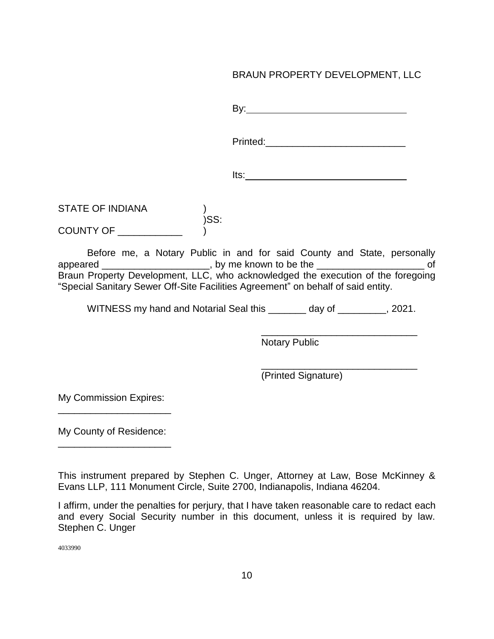# BRAUN PROPERTY DEVELOPMENT, LLC

By: Printed:\_\_\_\_\_\_\_\_\_\_\_\_\_\_\_\_\_\_\_\_\_\_\_\_\_\_ Its: STATE OF INDIANA )SS: COUNTY OF

Before me, a Notary Public in and for said County and State, personally appeared \_\_\_\_\_\_\_\_\_\_\_\_\_\_\_\_\_\_\_\_\_, by me known to be the \_\_\_\_\_\_\_\_\_\_\_\_\_\_\_\_\_\_\_\_\_\_\_\_\_ of Braun Property Development, LLC, who acknowledged the execution of the foregoing "Special Sanitary Sewer Off-Site Facilities Agreement" on behalf of said entity.

WITNESS my hand and Notarial Seal this \_\_\_\_\_\_\_\_ day of \_\_\_\_\_\_\_\_\_, 2021.

\_\_\_\_\_\_\_\_\_\_\_\_\_\_\_\_\_\_\_\_\_\_\_\_\_\_\_\_\_ Notary Public

\_\_\_\_\_\_\_\_\_\_\_\_\_\_\_\_\_\_\_\_\_\_\_\_\_\_\_\_\_ (Printed Signature)

My Commission Expires: \_\_\_\_\_\_\_\_\_\_\_\_\_\_\_\_\_\_\_\_\_

My County of Residence: \_\_\_\_\_\_\_\_\_\_\_\_\_\_\_\_\_\_\_\_\_

This instrument prepared by Stephen C. Unger, Attorney at Law, Bose McKinney & Evans LLP, 111 Monument Circle, Suite 2700, Indianapolis, Indiana 46204.

I affirm, under the penalties for perjury, that I have taken reasonable care to redact each and every Social Security number in this document, unless it is required by law. Stephen C. Unger

4033990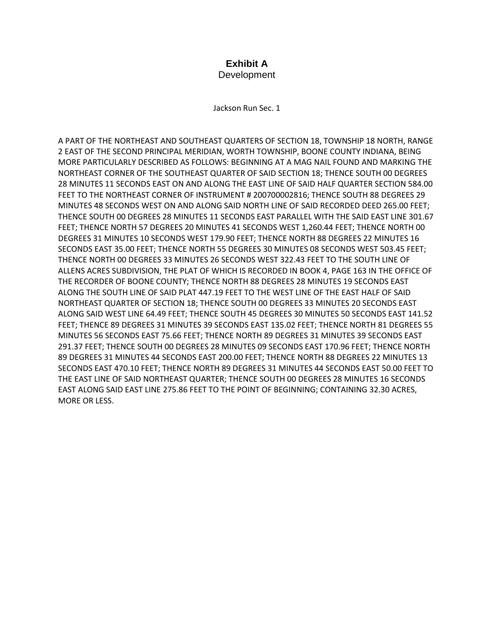#### **Exhibit A** Development

Jackson Run Sec. 1

A PART OF THE NORTHEAST AND SOUTHEAST QUARTERS OF SECTION 18, TOWNSHIP 18 NORTH, RANGE 2 EAST OF THE SECOND PRINCIPAL MERIDIAN, WORTH TOWNSHIP, BOONE COUNTY INDIANA, BEING MORE PARTICULARLY DESCRIBED AS FOLLOWS: BEGINNING AT A MAG NAIL FOUND AND MARKING THE NORTHEAST CORNER OF THE SOUTHEAST QUARTER OF SAID SECTION 18; THENCE SOUTH 00 DEGREES 28 MINUTES 11 SECONDS EAST ON AND ALONG THE EAST LINE OF SAID HALF QUARTER SECTION 584.00 FEET TO THE NORTHEAST CORNER OF INSTRUMENT # 200700002816; THENCE SOUTH 88 DEGREES 29 MINUTES 48 SECONDS WEST ON AND ALONG SAID NORTH LINE OF SAID RECORDED DEED 265.00 FEET; THENCE SOUTH 00 DEGREES 28 MINUTES 11 SECONDS EAST PARALLEL WITH THE SAID EAST LINE 301.67 FEET; THENCE NORTH 57 DEGREES 20 MINUTES 41 SECONDS WEST 1,260.44 FEET; THENCE NORTH 00 DEGREES 31 MINUTES 10 SECONDS WEST 179.90 FEET; THENCE NORTH 88 DEGREES 22 MINUTES 16 SECONDS EAST 35.00 FEET; THENCE NORTH 55 DEGREES 30 MINUTES 08 SECONDS WEST 503.45 FEET; THENCE NORTH 00 DEGREES 33 MINUTES 26 SECONDS WEST 322.43 FEET TO THE SOUTH LINE OF ALLENS ACRES SUBDIVISION, THE PLAT OF WHICH IS RECORDED IN BOOK 4, PAGE 163 IN THE OFFICE OF THE RECORDER OF BOONE COUNTY; THENCE NORTH 88 DEGREES 28 MINUTES 19 SECONDS EAST ALONG THE SOUTH LINE OF SAID PLAT 447.19 FEET TO THE WEST LINE OF THE EAST HALF OF SAID NORTHEAST QUARTER OF SECTION 18; THENCE SOUTH 00 DEGREES 33 MINUTES 20 SECONDS EAST ALONG SAID WEST LINE 64.49 FEET; THENCE SOUTH 45 DEGREES 30 MINUTES 50 SECONDS EAST 141.52 FEET; THENCE 89 DEGREES 31 MINUTES 39 SECONDS EAST 135.02 FEET; THENCE NORTH 81 DEGREES 55 MINUTES 56 SECONDS EAST 75.66 FEET; THENCE NORTH 89 DEGREES 31 MINUTES 39 SECONDS EAST 291.37 FEET; THENCE SOUTH 00 DEGREES 28 MINUTES 09 SECONDS EAST 170.96 FEET; THENCE NORTH 89 DEGREES 31 MINUTES 44 SECONDS EAST 200.00 FEET; THENCE NORTH 88 DEGREES 22 MINUTES 13 SECONDS EAST 470.10 FEET; THENCE NORTH 89 DEGREES 31 MINUTES 44 SECONDS EAST 50.00 FEET TO THE EAST LINE OF SAID NORTHEAST QUARTER; THENCE SOUTH 00 DEGREES 28 MINUTES 16 SECONDS EAST ALONG SAID EAST LINE 275.86 FEET TO THE POINT OF BEGINNING; CONTAINING 32.30 ACRES, MORE OR LESS.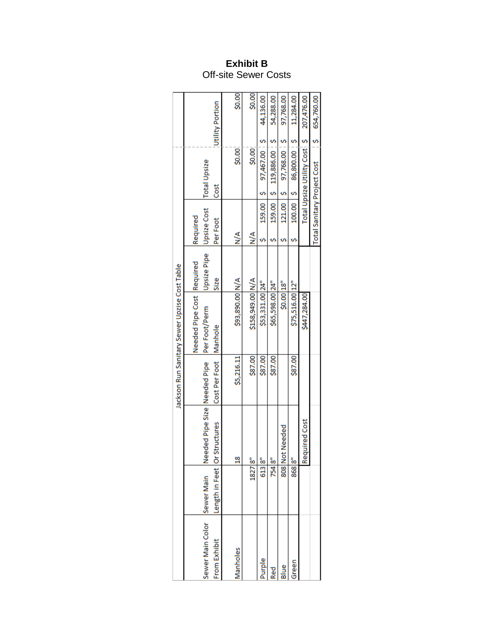## **Exhibit B** Off-site Sewer Costs

|                                             |        |                                                                |                         | Jackson Run Sanitary Sewer Upzise Cost Table |                            |                                                    |               |                              |                 |
|---------------------------------------------|--------|----------------------------------------------------------------|-------------------------|----------------------------------------------|----------------------------|----------------------------------------------------|---------------|------------------------------|-----------------|
| Sewer Main Color Sewer Main<br>From Exhibit |        | Needed Pipe Size Needed Pipe<br>Length in Feet   Or Structures | Cost Per Foot   Manhole | Needed Pipe Cost Required<br>Per Foot/Perm   | <b>Upsize Pipe</b><br>Size | Upsize Cost   Total Upsize<br>Required<br>Per Foot | Cost          |                              | Utility Portion |
| Manholes                                    |        | $\frac{8}{1}$                                                  | \$5,216.11              | \$93,890.00 N/A                              |                            | $\frac{4}{2}$                                      |               | \$0.00                       | \$0.00          |
|                                             | 18278" |                                                                | \$87.00                 | \$158,949.00 N/A                             |                            | $\frac{4}{2}$                                      |               | \$0.00                       | \$0.00          |
| Purple                                      | 613 8" |                                                                | \$87.00                 | \$53,331.00 24"                              |                            | 159.00                                             | $\frac{3}{2}$ | 97,467.00 \$                 | 44,136.00       |
| <b>Red</b>                                  | 754 8" |                                                                | \$87.00                 | \$65,598.00 24"                              |                            |                                                    |               | 159.00   \$ 119,886.00   \$  | 54,288.00       |
| Blue                                        |        | 808 Not Needed                                                 |                         | \$0.00 18"                                   |                            |                                                    | $121.00$ $5$  | 97,768.00 \$                 | 97,768.00       |
| Green                                       | 868 8" |                                                                | \$87.00                 | \$75,516.00 12"                              |                            |                                                    |               |                              | 11,284.00       |
|                                             |        | Required Cost                                                  |                         | \$447,284.00                                 |                            |                                                    |               | Total Upsize Utility Costi S | 207,476.00      |
|                                             |        |                                                                |                         |                                              |                            | <b>Total Sanitary Project Cost</b>                 |               |                              | 5654,760.00     |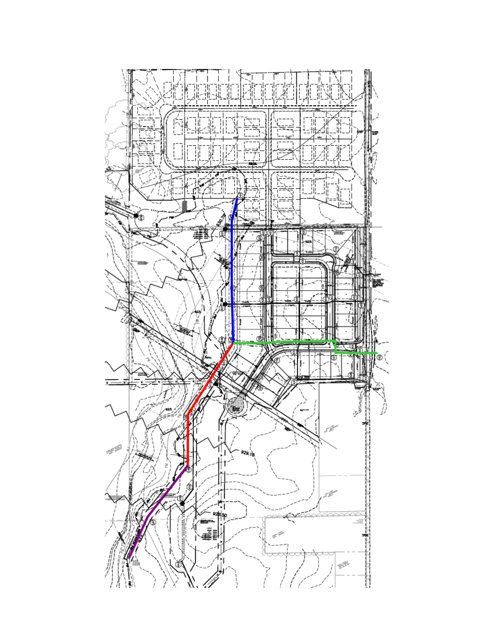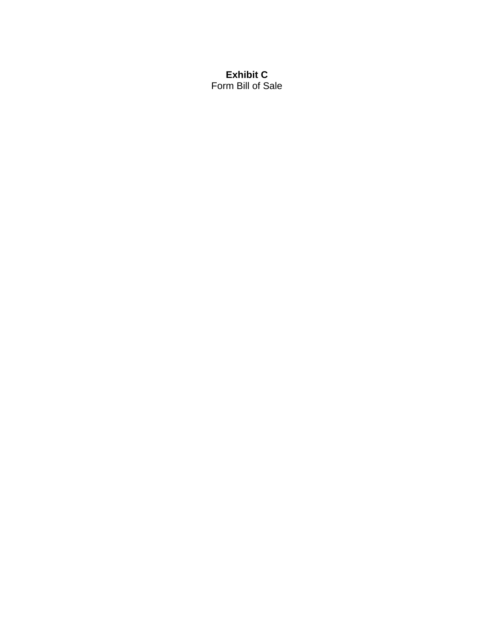### **Exhibit C** Form Bill of Sale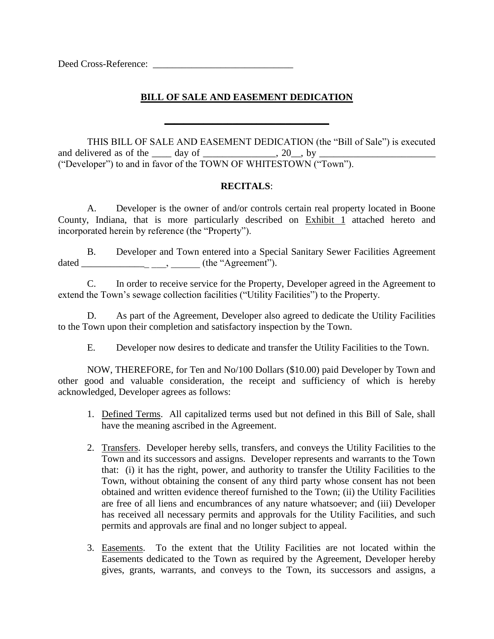Deed Cross-Reference: \_\_\_\_\_\_\_\_\_\_\_\_\_\_\_\_\_\_\_\_\_\_\_\_\_\_\_\_\_

## **BILL OF SALE AND EASEMENT DEDICATION**

**\_\_\_\_\_\_\_\_\_\_\_\_\_\_\_\_\_\_\_\_\_\_\_\_\_\_\_\_\_\_\_\_\_\_**

THIS BILL OF SALE AND EASEMENT DEDICATION (the "Bill of Sale") is executed and delivered as of the  $\_\_\_\$  day of  $\_\_\_\_\_\_\_\_\$ , 20, by  $\_\_\_\_\$ ("Developer") to and in favor of the TOWN OF WHITESTOWN ("Town").

#### **RECITALS**:

A. Developer is the owner of and/or controls certain real property located in Boone County, Indiana, that is more particularly described on Exhibit 1 attached hereto and incorporated herein by reference (the "Property").

B. Developer and Town entered into a Special Sanitary Sewer Facilities Agreement dated \_\_\_\_\_\_\_\_\_\_\_\_\_\_ \_\_\_, \_\_\_\_\_\_ (the "Agreement").

C. In order to receive service for the Property, Developer agreed in the Agreement to extend the Town's sewage collection facilities ("Utility Facilities") to the Property.

D. As part of the Agreement, Developer also agreed to dedicate the Utility Facilities to the Town upon their completion and satisfactory inspection by the Town.

E. Developer now desires to dedicate and transfer the Utility Facilities to the Town.

NOW, THEREFORE, for Ten and No/100 Dollars (\$10.00) paid Developer by Town and other good and valuable consideration, the receipt and sufficiency of which is hereby acknowledged, Developer agrees as follows:

- 1. Defined Terms. All capitalized terms used but not defined in this Bill of Sale, shall have the meaning ascribed in the Agreement.
- 2. Transfers. Developer hereby sells, transfers, and conveys the Utility Facilities to the Town and its successors and assigns. Developer represents and warrants to the Town that: (i) it has the right, power, and authority to transfer the Utility Facilities to the Town, without obtaining the consent of any third party whose consent has not been obtained and written evidence thereof furnished to the Town; (ii) the Utility Facilities are free of all liens and encumbrances of any nature whatsoever; and (iii) Developer has received all necessary permits and approvals for the Utility Facilities, and such permits and approvals are final and no longer subject to appeal.
- 3. Easements. To the extent that the Utility Facilities are not located within the Easements dedicated to the Town as required by the Agreement, Developer hereby gives, grants, warrants, and conveys to the Town, its successors and assigns, a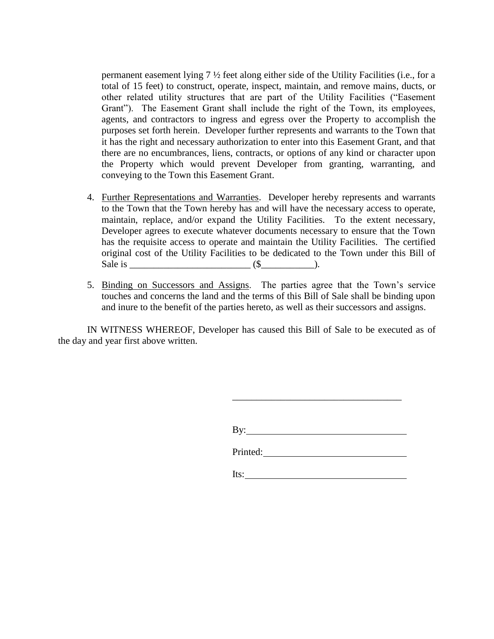permanent easement lying 7 ½ feet along either side of the Utility Facilities (i.e., for a total of 15 feet) to construct, operate, inspect, maintain, and remove mains, ducts, or other related utility structures that are part of the Utility Facilities ("Easement Grant"). The Easement Grant shall include the right of the Town, its employees, agents, and contractors to ingress and egress over the Property to accomplish the purposes set forth herein. Developer further represents and warrants to the Town that it has the right and necessary authorization to enter into this Easement Grant, and that there are no encumbrances, liens, contracts, or options of any kind or character upon the Property which would prevent Developer from granting, warranting, and conveying to the Town this Easement Grant.

- 4. Further Representations and Warranties. Developer hereby represents and warrants to the Town that the Town hereby has and will have the necessary access to operate, maintain, replace, and/or expand the Utility Facilities. To the extent necessary, Developer agrees to execute whatever documents necessary to ensure that the Town has the requisite access to operate and maintain the Utility Facilities. The certified original cost of the Utility Facilities to be dedicated to the Town under this Bill of Sale is \_\_\_\_\_\_\_\_\_\_\_\_\_\_\_\_\_\_\_\_\_\_\_\_\_ (\$\_\_\_\_\_\_\_\_\_\_\_).
- 5. Binding on Successors and Assigns. The parties agree that the Town's service touches and concerns the land and the terms of this Bill of Sale shall be binding upon and inure to the benefit of the parties hereto, as well as their successors and assigns.

IN WITNESS WHEREOF, Developer has caused this Bill of Sale to be executed as of the day and year first above written.

| By: |  |
|-----|--|

\_\_\_\_\_\_\_\_\_\_\_\_\_\_\_\_\_\_\_\_\_\_\_\_\_\_\_\_\_\_\_\_\_\_\_

| Printed: |  |  |
|----------|--|--|

Its: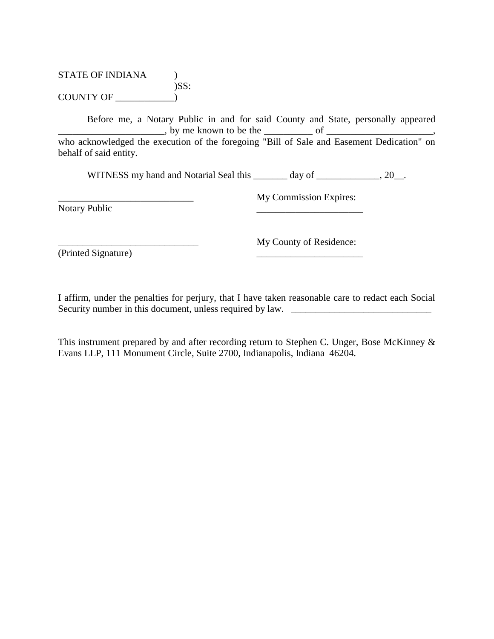### STATE OF INDIANA (1)  $)$ SS:  $COUNTY OF \_\_$

\_\_\_\_\_\_\_\_\_\_\_\_\_\_\_\_\_\_\_\_\_\_\_\_\_\_\_\_

Before me, a Notary Public in and for said County and State, personally appeared \_\_\_\_\_\_\_\_\_\_\_\_\_\_\_\_\_\_\_\_\_\_, by me known to be the \_\_\_\_\_\_\_\_\_\_ of \_\_\_\_\_\_\_\_\_\_\_\_\_\_\_\_\_\_\_\_\_\_, who acknowledged the execution of the foregoing "Bill of Sale and Easement Dedication" on behalf of said entity.

WITNESS my hand and Notarial Seal this \_\_\_\_\_\_\_ day of \_\_\_\_\_\_\_\_\_\_\_\_, 20\_\_.

Notary Public

My Commission Expires: \_\_\_\_\_\_\_\_\_\_\_\_\_\_\_\_\_\_\_\_\_\_

\_\_\_\_\_\_\_\_\_\_\_\_\_\_\_\_\_\_\_\_\_\_\_\_\_\_\_\_\_ (Printed Signature)

My County of Residence: \_\_\_\_\_\_\_\_\_\_\_\_\_\_\_\_\_\_\_\_\_\_

I affirm, under the penalties for perjury, that I have taken reasonable care to redact each Social Security number in this document, unless required by law.

This instrument prepared by and after recording return to Stephen C. Unger, Bose McKinney & Evans LLP, 111 Monument Circle, Suite 2700, Indianapolis, Indiana 46204.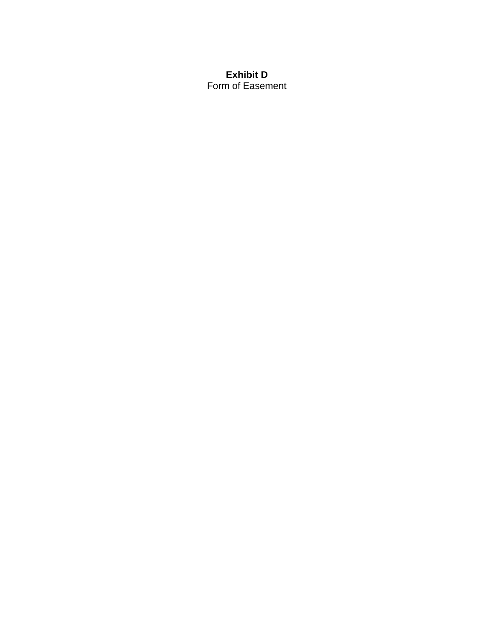### **Exhibit D** Form of Easement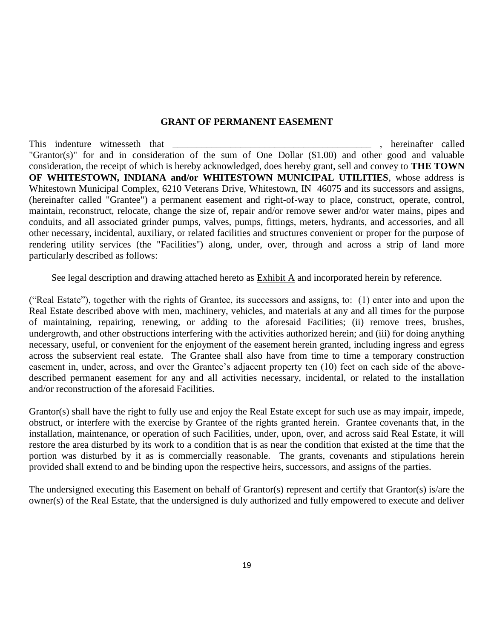#### **GRANT OF PERMANENT EASEMENT**

This indenture witnesseth that the set of the set of the set of the set of the set of the set of the set of the set of the set of the set of the set of the set of the set of the set of the set of the set of the set of the "Grantor(s)" for and in consideration of the sum of One Dollar (\$1.00) and other good and valuable consideration, the receipt of which is hereby acknowledged, does hereby grant, sell and convey to **THE TOWN OF WHITESTOWN, INDIANA and/or WHITESTOWN MUNICIPAL UTILITIES**, whose address is Whitestown Municipal Complex, 6210 Veterans Drive, Whitestown, IN 46075 and its successors and assigns, (hereinafter called "Grantee") a permanent easement and right-of-way to place, construct, operate, control, maintain, reconstruct, relocate, change the size of, repair and/or remove sewer and/or water mains, pipes and conduits, and all associated grinder pumps, valves, pumps, fittings, meters, hydrants, and accessories, and all other necessary, incidental, auxiliary, or related facilities and structures convenient or proper for the purpose of rendering utility services (the "Facilities") along, under, over, through and across a strip of land more particularly described as follows:

See legal description and drawing attached hereto as Exhibit A and incorporated herein by reference.

("Real Estate"), together with the rights of Grantee, its successors and assigns, to: (1) enter into and upon the Real Estate described above with men, machinery, vehicles, and materials at any and all times for the purpose of maintaining, repairing, renewing, or adding to the aforesaid Facilities; (ii) remove trees, brushes, undergrowth, and other obstructions interfering with the activities authorized herein; and (iii) for doing anything necessary, useful, or convenient for the enjoyment of the easement herein granted, including ingress and egress across the subservient real estate. The Grantee shall also have from time to time a temporary construction easement in, under, across, and over the Grantee's adjacent property ten (10) feet on each side of the abovedescribed permanent easement for any and all activities necessary, incidental, or related to the installation and/or reconstruction of the aforesaid Facilities.

Grantor(s) shall have the right to fully use and enjoy the Real Estate except for such use as may impair, impede, obstruct, or interfere with the exercise by Grantee of the rights granted herein. Grantee covenants that, in the installation, maintenance, or operation of such Facilities, under, upon, over, and across said Real Estate, it will restore the area disturbed by its work to a condition that is as near the condition that existed at the time that the portion was disturbed by it as is commercially reasonable. The grants, covenants and stipulations herein provided shall extend to and be binding upon the respective heirs, successors, and assigns of the parties.

The undersigned executing this Easement on behalf of Grantor(s) represent and certify that Grantor(s) is/are the owner(s) of the Real Estate, that the undersigned is duly authorized and fully empowered to execute and deliver